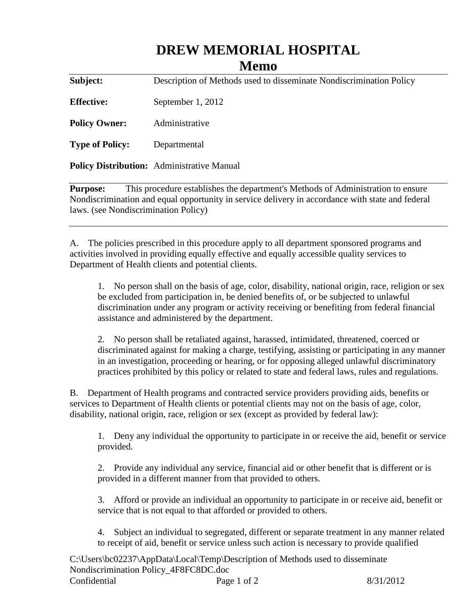## **DREW MEMORIAL HOSPITAL**

## **Memo**

**Subject:** Description of Methods used to disseminate Nondiscrimination Policy **Effective:** September 1, 2012 **Policy Owner:** Administrative **Type of Policy:** Departmental **Policy Distribution:** Administrative Manual

**Purpose:** This procedure establishes the department's Methods of Administration to ensure Nondiscrimination and equal opportunity in service delivery in accordance with state and federal laws. (see Nondiscrimination Policy)

A. The policies prescribed in this procedure apply to all department sponsored programs and activities involved in providing equally effective and equally accessible quality services to Department of Health clients and potential clients.

1. No person shall on the basis of age, color, disability, national origin, race, religion or sex be excluded from participation in, be denied benefits of, or be subjected to unlawful discrimination under any program or activity receiving or benefiting from federal financial assistance and administered by the department.

2. No person shall be retaliated against, harassed, intimidated, threatened, coerced or discriminated against for making a charge, testifying, assisting or participating in any manner in an investigation, proceeding or hearing, or for opposing alleged unlawful discriminatory practices prohibited by this policy or related to state and federal laws, rules and regulations.

B. Department of Health programs and contracted service providers providing aids, benefits or services to Department of Health clients or potential clients may not on the basis of age, color, disability, national origin, race, religion or sex (except as provided by federal law):

1. Deny any individual the opportunity to participate in or receive the aid, benefit or service provided.

2. Provide any individual any service, financial aid or other benefit that is different or is provided in a different manner from that provided to others.

3. Afford or provide an individual an opportunity to participate in or receive aid, benefit or service that is not equal to that afforded or provided to others.

4. Subject an individual to segregated, different or separate treatment in any manner related to receipt of aid, benefit or service unless such action is necessary to provide qualified

C:\Users\bc02237\AppData\Local\Temp\Description of Methods used to disseminate Nondiscrimination Policy\_4F8FC8DC.doc Confidential Page 1 of 2 8/31/2012